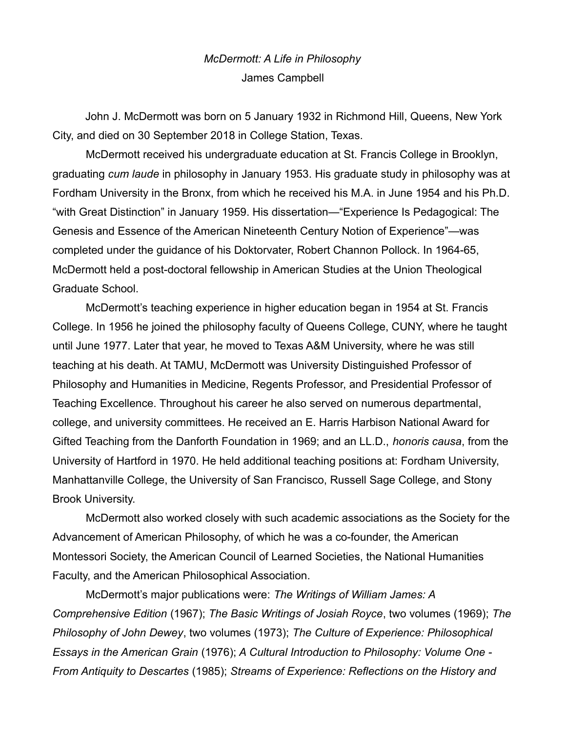## *McDermott: A Life in Philosophy* James Campbell

John J. McDermott was born on 5 January 1932 in Richmond Hill, Queens, New York City, and died on 30 September 2018 in College Station, Texas.

McDermott received his undergraduate education at St. Francis College in Brooklyn, graduating *cum laude* in philosophy in January 1953. His graduate study in philosophy was at Fordham University in the Bronx, from which he received his M.A. in June 1954 and his Ph.D. "with Great Distinction" in January 1959. His dissertation—"Experience Is Pedagogical: The Genesis and Essence of the American Nineteenth Century Notion of Experience"—was completed under the guidance of his Doktorvater, Robert Channon Pollock. In 1964-65, McDermott held a post-doctoral fellowship in American Studies at the Union Theological Graduate School.

McDermott's teaching experience in higher education began in 1954 at St. Francis College. In 1956 he joined the philosophy faculty of Queens College, CUNY, where he taught until June 1977. Later that year, he moved to Texas A&M University, where he was still teaching at his death. At TAMU, McDermott was University Distinguished Professor of Philosophy and Humanities in Medicine, Regents Professor, and Presidential Professor of Teaching Excellence. Throughout his career he also served on numerous departmental, college, and university committees. He received an E. Harris Harbison National Award for Gifted Teaching from the Danforth Foundation in 1969; and an LL.D., *honoris causa*, from the University of Hartford in 1970. He held additional teaching positions at: Fordham University, Manhattanville College, the University of San Francisco, Russell Sage College, and Stony Brook University.

McDermott also worked closely with such academic associations as the Society for the Advancement of American Philosophy, of which he was a co-founder, the American Montessori Society, the American Council of Learned Societies, the National Humanities Faculty, and the American Philosophical Association.

McDermott's major publications were: *The Writings of William James: A Comprehensive Edition* (1967); *The Basic Writings of Josiah Royce*, two volumes (1969); *The Philosophy of John Dewey*, two volumes (1973); *The Culture of Experience: Philosophical Essays in the American Grain* (1976); *A Cultural Introduction to Philosophy: Volume One - From Antiquity to Descartes* (1985); *Streams of Experience: Reflections on the History and*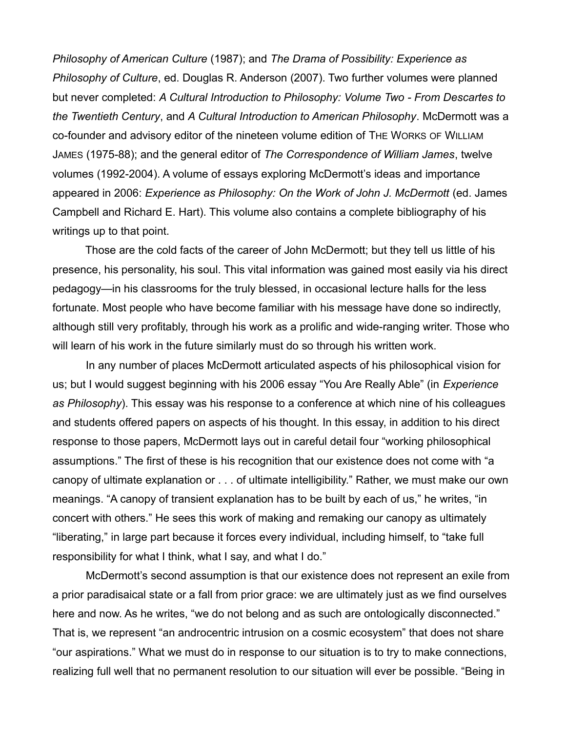*Philosophy of American Culture* (1987); and *The Drama of Possibility: Experience as Philosophy of Culture*, ed. Douglas R. Anderson (2007). Two further volumes were planned but never completed: *A Cultural Introduction to Philosophy: Volume Two - From Descartes to the Twentieth Century*, and *A Cultural Introduction to American Philosophy*. McDermott was a co-founder and advisory editor of the nineteen volume edition of THE WORKS OF WILLIAM JAMES (1975-88); and the general editor of *The Correspondence of William James*, twelve volumes (1992-2004). A volume of essays exploring McDermott's ideas and importance appeared in 2006: *Experience as Philosophy: On the Work of John J. McDermott* (ed. James Campbell and Richard E. Hart). This volume also contains a complete bibliography of his writings up to that point.

Those are the cold facts of the career of John McDermott; but they tell us little of his presence, his personality, his soul. This vital information was gained most easily via his direct pedagogy—in his classrooms for the truly blessed, in occasional lecture halls for the less fortunate. Most people who have become familiar with his message have done so indirectly, although still very profitably, through his work as a prolific and wide-ranging writer. Those who will learn of his work in the future similarly must do so through his written work.

In any number of places McDermott articulated aspects of his philosophical vision for us; but I would suggest beginning with his 2006 essay "You Are Really Able" (in *Experience as Philosophy*). This essay was his response to a conference at which nine of his colleagues and students offered papers on aspects of his thought. In this essay, in addition to his direct response to those papers, McDermott lays out in careful detail four "working philosophical assumptions." The first of these is his recognition that our existence does not come with "a canopy of ultimate explanation or . . . of ultimate intelligibility." Rather, we must make our own meanings. "A canopy of transient explanation has to be built by each of us," he writes, "in concert with others." He sees this work of making and remaking our canopy as ultimately "liberating," in large part because it forces every individual, including himself, to "take full responsibility for what I think, what I say, and what I do."

McDermott's second assumption is that our existence does not represent an exile from a prior paradisaical state or a fall from prior grace: we are ultimately just as we find ourselves here and now. As he writes, "we do not belong and as such are ontologically disconnected." That is, we represent "an androcentric intrusion on a cosmic ecosystem" that does not share "our aspirations." What we must do in response to our situation is to try to make connections, realizing full well that no permanent resolution to our situation will ever be possible. "Being in